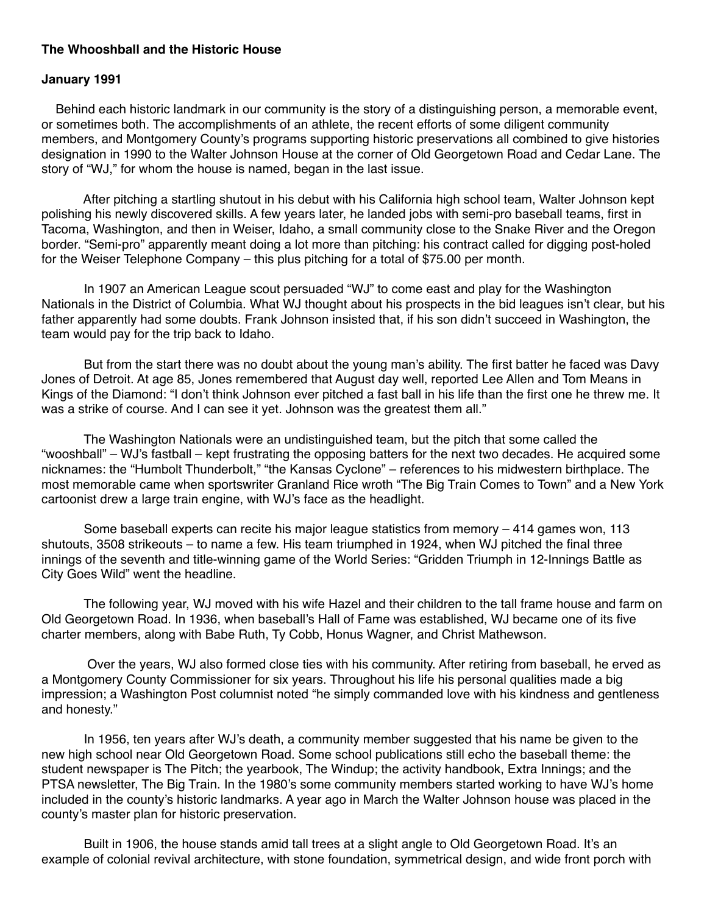## **The Whooshball and the Historic House**

## **January 1991**

 Behind each historic landmark in our community is the story of a distinguishing person, a memorable event, or sometimes both. The accomplishments of an athlete, the recent efforts of some diligent community members, and Montgomery County's programs supporting historic preservations all combined to give histories designation in 1990 to the Walter Johnson House at the corner of Old Georgetown Road and Cedar Lane. The story of "WJ," for whom the house is named, began in the last issue.

 After pitching a startling shutout in his debut with his California high school team, Walter Johnson kept polishing his newly discovered skills. A few years later, he landed jobs with semi-pro baseball teams, first in Tacoma, Washington, and then in Weiser, Idaho, a small community close to the Snake River and the Oregon border. "Semi-pro" apparently meant doing a lot more than pitching: his contract called for digging post-holed for the Weiser Telephone Company – this plus pitching for a total of \$75.00 per month.

 In 1907 an American League scout persuaded "WJ" to come east and play for the Washington Nationals in the District of Columbia. What WJ thought about his prospects in the bid leagues isn't clear, but his father apparently had some doubts. Frank Johnson insisted that, if his son didn't succeed in Washington, the team would pay for the trip back to Idaho.

 But from the start there was no doubt about the young man's ability. The first batter he faced was Davy Jones of Detroit. At age 85, Jones remembered that August day well, reported Lee Allen and Tom Means in Kings of the Diamond: "I don't think Johnson ever pitched a fast ball in his life than the first one he threw me. It was a strike of course. And I can see it yet. Johnson was the greatest them all."

 The Washington Nationals were an undistinguished team, but the pitch that some called the "wooshball" – WJ's fastball – kept frustrating the opposing batters for the next two decades. He acquired some nicknames: the "Humbolt Thunderbolt," "the Kansas Cyclone" – references to his midwestern birthplace. The most memorable came when sportswriter Granland Rice wroth "The Big Train Comes to Town" and a New York cartoonist drew a large train engine, with WJ's face as the headlight.

 Some baseball experts can recite his major league statistics from memory – 414 games won, 113 shutouts, 3508 strikeouts – to name a few. His team triumphed in 1924, when WJ pitched the final three innings of the seventh and title-winning game of the World Series: "Gridden Triumph in 12-Innings Battle as City Goes Wild" went the headline.

 The following year, WJ moved with his wife Hazel and their children to the tall frame house and farm on Old Georgetown Road. In 1936, when baseball's Hall of Fame was established, WJ became one of its five charter members, along with Babe Ruth, Ty Cobb, Honus Wagner, and Christ Mathewson.

 Over the years, WJ also formed close ties with his community. After retiring from baseball, he erved as a Montgomery County Commissioner for six years. Throughout his life his personal qualities made a big impression; a Washington Post columnist noted "he simply commanded love with his kindness and gentleness and honesty."

 In 1956, ten years after WJ's death, a community member suggested that his name be given to the new high school near Old Georgetown Road. Some school publications still echo the baseball theme: the student newspaper is The Pitch; the yearbook, The Windup; the activity handbook, Extra Innings; and the PTSA newsletter, The Big Train. In the 1980's some community members started working to have WJ's home included in the county's historic landmarks. A year ago in March the Walter Johnson house was placed in the county's master plan for historic preservation.

 Built in 1906, the house stands amid tall trees at a slight angle to Old Georgetown Road. It's an example of colonial revival architecture, with stone foundation, symmetrical design, and wide front porch with